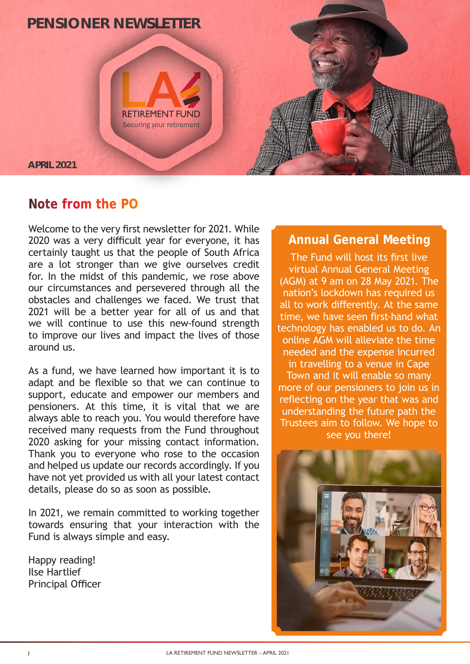

## **Note from the PO**

Welcome to the very first newsletter for 2021. While 2020 was a very difficult year for everyone, it has certainly taught us that the people of South Africa are a lot stronger than we give ourselves credit for. In the midst of this pandemic, we rose above our circumstances and persevered through all the obstacles and challenges we faced. We trust that 2021 will be a better year for all of us and that we will continue to use this new-found strength to improve our lives and impact the lives of those around us.

As a fund, we have learned how important it is to adapt and be flexible so that we can continue to support, educate and empower our members and pensioners. At this time, it is vital that we are always able to reach you. You would therefore have received many requests from the Fund throughout 2020 asking for your missing contact information. Thank you to everyone who rose to the occasion and helped us update our records accordingly. If you have not yet provided us with all your latest contact details, please do so as soon as possible.

In 2021, we remain committed to working together towards ensuring that your interaction with the Fund is always simple and easy.

Happy reading! Ilse Hartlief Principal Officer

### **Annual General Meeting**

The Fund will host its first live virtual Annual General Meeting (AGM) at 9 am on 28 May 2021. The nation's lockdown has required us all to work differently. At the same time, we have seen first-hand what technology has enabled us to do. An online AGM will alleviate the time needed and the expense incurred in travelling to a venue in Cape Town and it will enable so many more of our pensioners to join us in reflecting on the year that was and understanding the future path the Trustees aim to follow. We hope to see you there!

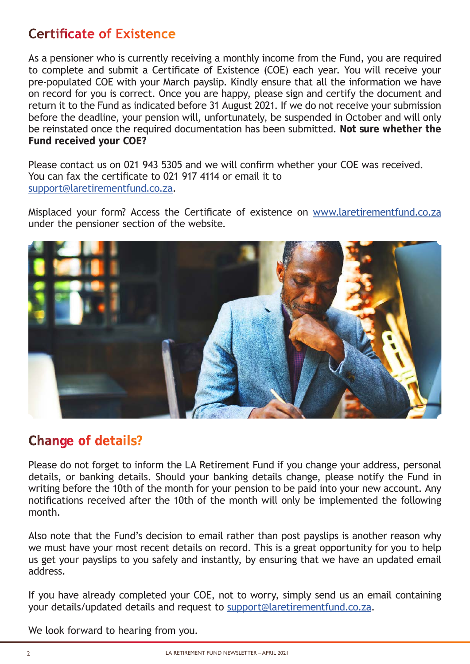# **Certificate of Existence**

As a pensioner who is currently receiving a monthly income from the Fund, you are required to complete and submit a Certificate of Existence (COE) each year. You will receive your pre-populated COE with your March payslip. Kindly ensure that all the information we have on record for you is correct. Once you are happy, please sign and certify the document and return it to the Fund as indicated before 31 August 2021. If we do not receive your submission before the deadline, your pension will, unfortunately, be suspended in October and will only be reinstated once the required documentation has been submitted. **Not sure whether the Fund received your COE?**

Please contact us on 021 943 5305 and we will confirm whether your COE was received. You can fax the certificate to 021 917 4114 or email it to support@laretirementfund.co.za.

Misplaced your form? Access the Certificate of existence on www.laretirementfund.co.za under the pensioner section of the website.



# **Change of details?**

Please do not forget to inform the LA Retirement Fund if you change your address, personal details, or banking details. Should your banking details change, please notify the Fund in writing before the 10th of the month for your pension to be paid into your new account. Any notifications received after the 10th of the month will only be implemented the following month.

Also note that the Fund's decision to email rather than post payslips is another reason why we must have your most recent details on record. This is a great opportunity for you to help us get your payslips to you safely and instantly, by ensuring that we have an updated email address.

If you have already completed your COE, not to worry, simply send us an email containing your details/updated details and request to support@laretirementfund.co.za.

We look forward to hearing from you.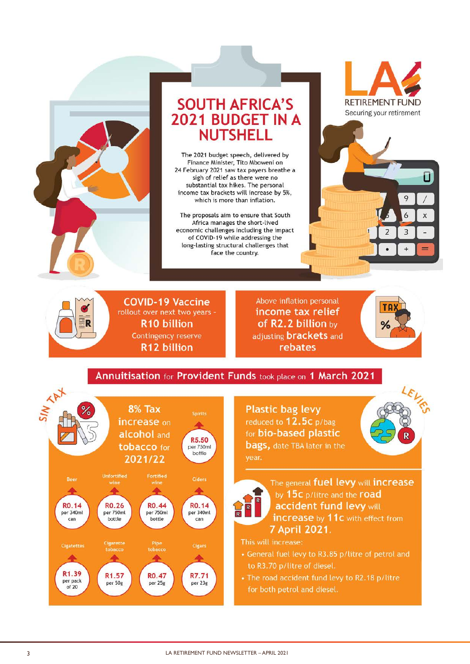